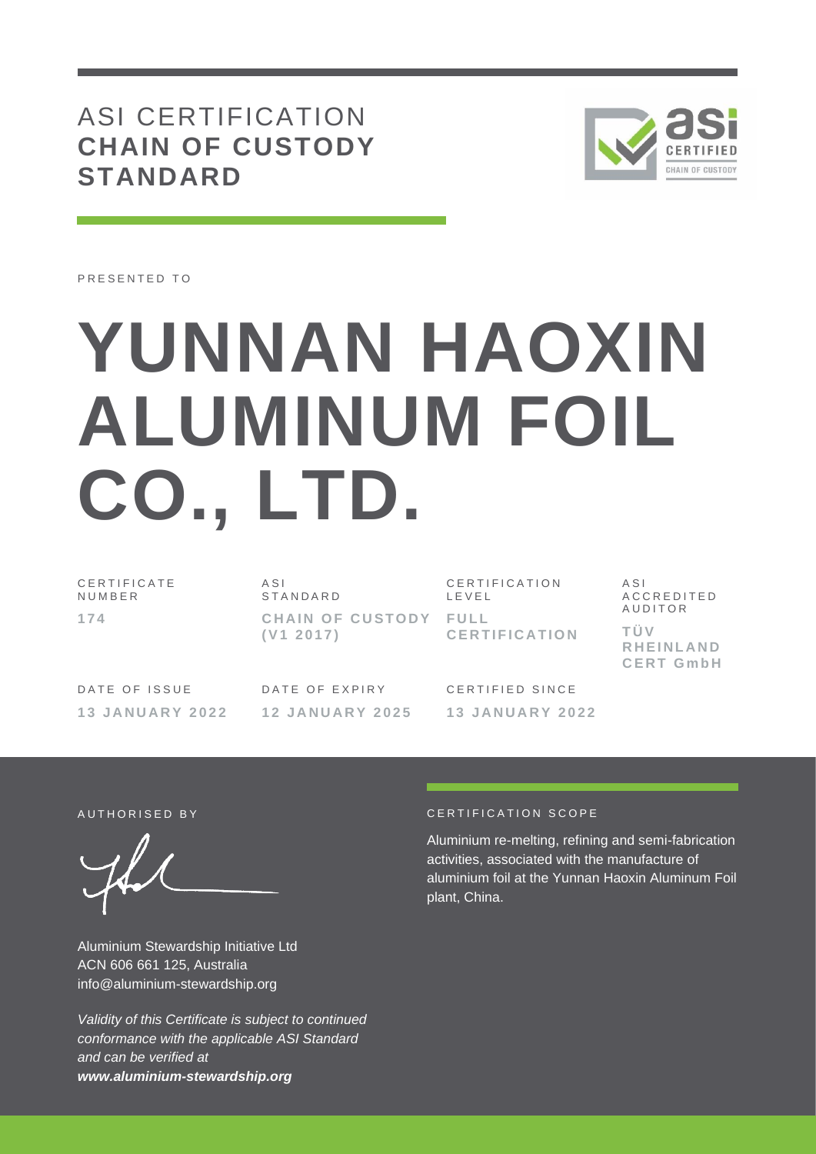# ASI CERTIFICATION **CHAIN OF CUSTODY STANDARD**



PRESENTED TO

# **YUNNAN HAOXIN ALUMINUM FOIL CO., LTD.**

C E R T I F I C A T E N U M B E R **1 7 4**

 $A S I$ S T A N D A R D **CHAIN OF CUSTODY FULL ( V1 2 0 1 7 )**

CERTIFICATION L E V E L **C E R T I F I C A T I O N** A S I A C C R E D I T E D **AUDITOR T Ü V R H E I N L A N D C E R T G m b H**

DATE OF ISSUE **1 3 J A N U A R Y 2 0 2 2**

DATE OF EXPIRY **1 2 J A N U A R Y 2 0 2 5** CERTIFIED SINCE **1 3 J A N U A R Y 2 0 2 2**

Aluminium Stewardship Initiative Ltd ACN 606 661 125, Australia info@aluminium-stewardship.org

*Validity of this Certificate is subject to continued conformance with the applicable ASI Standard and can be verified at www.aluminium-stewardship.org*

#### A UTHORISED BY **CERTIFICATION** SCOPE

Aluminium re-melting, refining and semi-fabrication activities, associated with the manufacture of aluminium foil at the Yunnan Haoxin Aluminum Foil plant, China.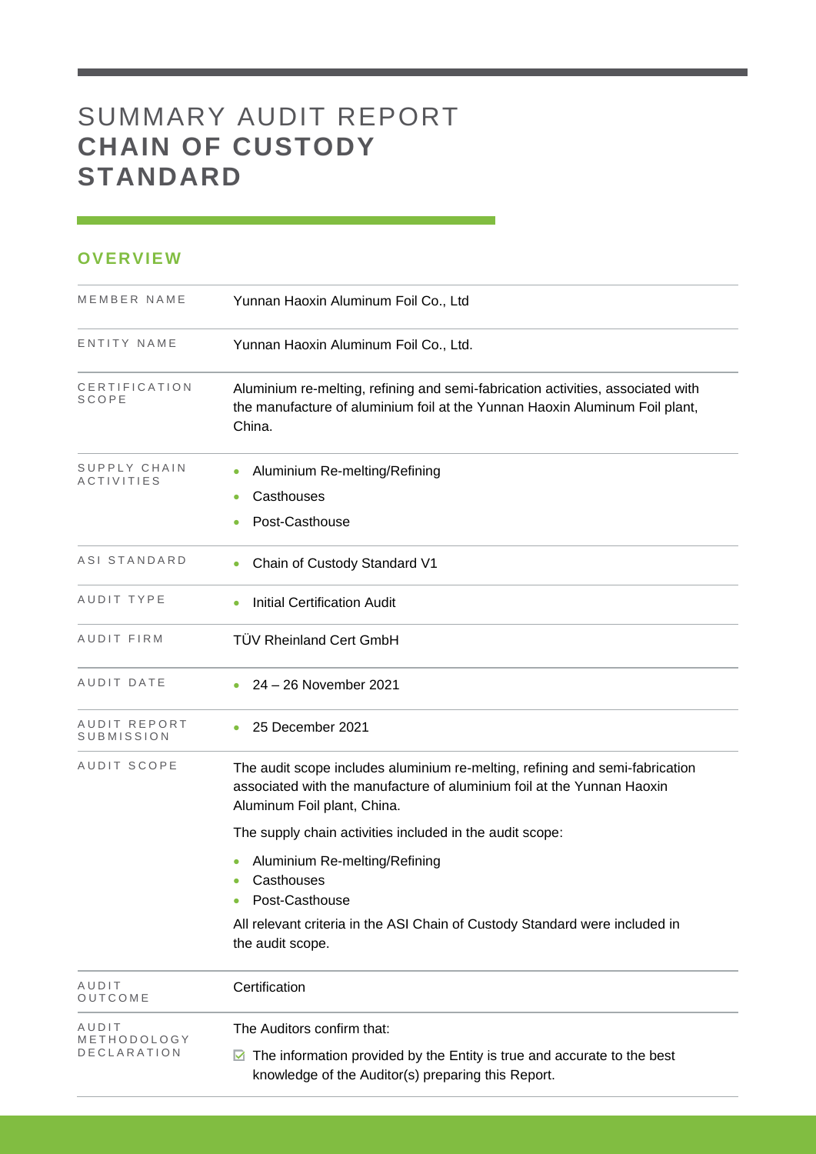## SUMMARY AUDIT REPORT **CHAIN OF CUSTODY STANDARD**

#### **OVERVIEW**

| MEMBER NAME                | Yunnan Haoxin Aluminum Foil Co., Ltd                                                                                                                                                  |
|----------------------------|---------------------------------------------------------------------------------------------------------------------------------------------------------------------------------------|
| ENTITY NAME                | Yunnan Haoxin Aluminum Foil Co., Ltd.                                                                                                                                                 |
| CERTIFICATION<br>SCOPE     | Aluminium re-melting, refining and semi-fabrication activities, associated with<br>the manufacture of aluminium foil at the Yunnan Haoxin Aluminum Foil plant,<br>China.              |
| SUPPLY CHAIN<br>ACTIVITIES | Aluminium Re-melting/Refining<br>٠<br>Casthouses<br>Post-Casthouse                                                                                                                    |
| ASI STANDARD               | Chain of Custody Standard V1                                                                                                                                                          |
| AUDIT TYPE                 | <b>Initial Certification Audit</b>                                                                                                                                                    |
| AUDIT FIRM                 | <b>TÜV Rheinland Cert GmbH</b>                                                                                                                                                        |
| AUDIT DATE                 | 24 - 26 November 2021                                                                                                                                                                 |
| AUDIT REPORT<br>SUBMISSION | 25 December 2021                                                                                                                                                                      |
| AUDIT SCOPE                | The audit scope includes aluminium re-melting, refining and semi-fabrication<br>associated with the manufacture of aluminium foil at the Yunnan Haoxin<br>Aluminum Foil plant, China. |
|                            | The supply chain activities included in the audit scope:                                                                                                                              |
|                            | Aluminium Re-melting/Refining<br>Casthouses<br>$\bullet$<br>Post-Casthouse                                                                                                            |
|                            | All relevant criteria in the ASI Chain of Custody Standard were included in<br>the audit scope.                                                                                       |
| AUDIT<br>OUTCOME           | Certification                                                                                                                                                                         |
| AUDIT                      | The Auditors confirm that:                                                                                                                                                            |
| METHODOLOGY<br>DECLARATION | The information provided by the Entity is true and accurate to the best<br>M<br>knowledge of the Auditor(s) preparing this Report.                                                    |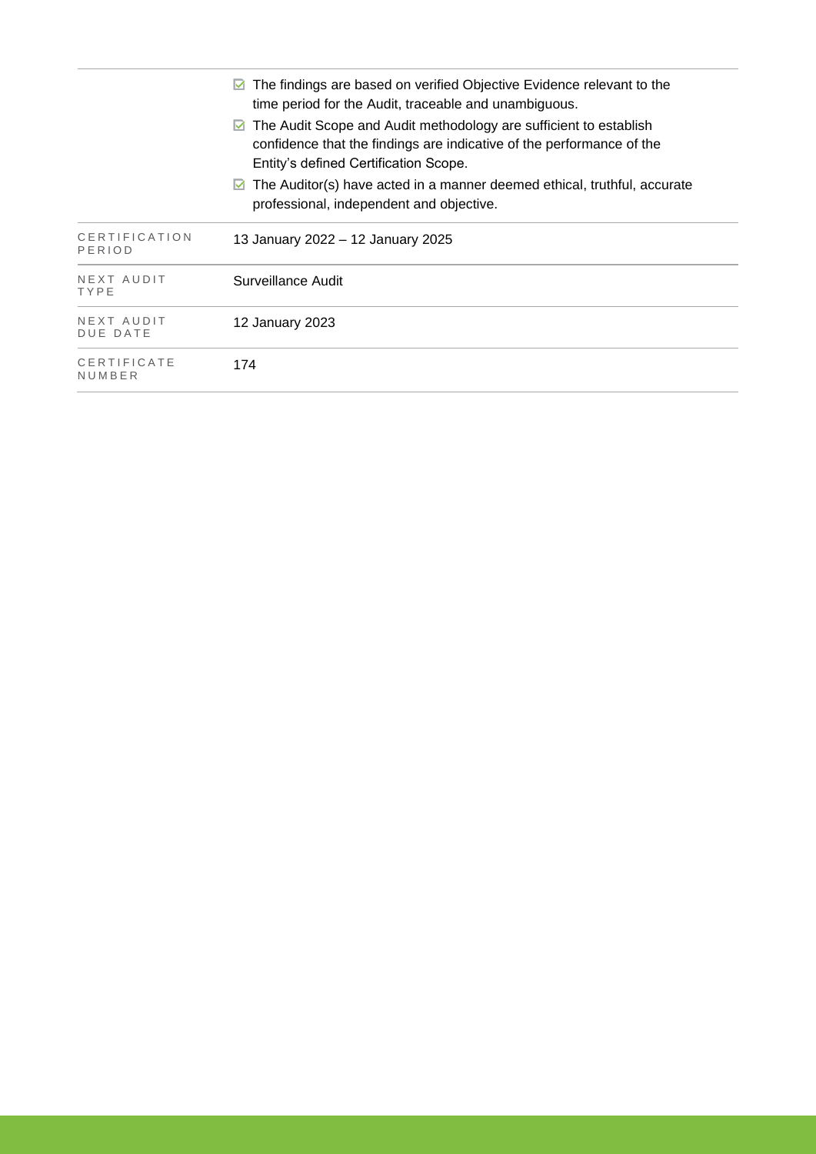|                               | The findings are based on verified Objective Evidence relevant to the<br>time period for the Audit, traceable and unambiguous.                                                           |
|-------------------------------|------------------------------------------------------------------------------------------------------------------------------------------------------------------------------------------|
|                               | The Audit Scope and Audit methodology are sufficient to establish<br>M<br>confidence that the findings are indicative of the performance of the<br>Entity's defined Certification Scope. |
|                               | The Auditor(s) have acted in a manner deemed ethical, truthful, accurate<br>M<br>professional, independent and objective.                                                                |
| CERTIFICATION<br>PERIOD       | 13 January 2022 – 12 January 2025                                                                                                                                                        |
| NEXT AUDIT<br>TYPE            | Surveillance Audit                                                                                                                                                                       |
| NEXT AUDIT<br><b>DUE DATE</b> | 12 January 2023                                                                                                                                                                          |
| CERTIFICATE<br>NUMBER         | 174                                                                                                                                                                                      |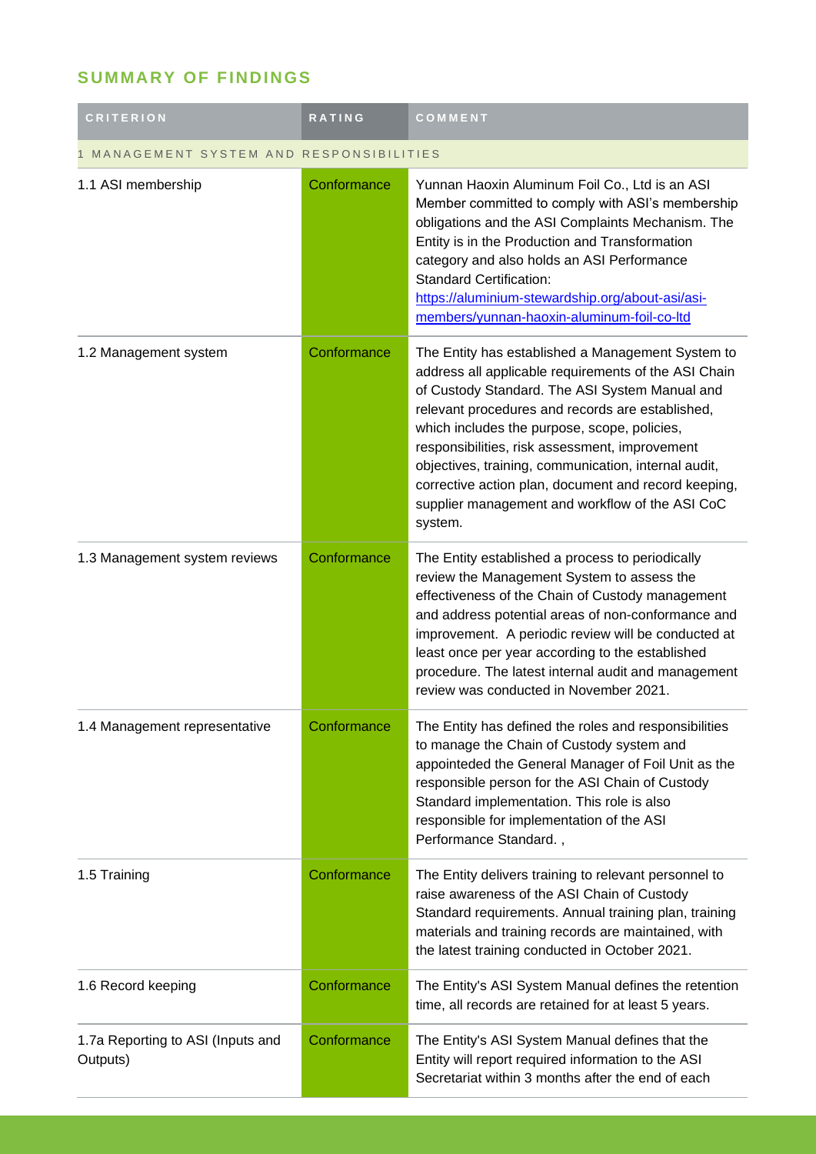## **SUMMARY OF FINDINGS**

| <b>CRITERION</b>                              | <b>RATING</b> | COMMENT                                                                                                                                                                                                                                                                                                                                                                                                                                                                                         |  |  |
|-----------------------------------------------|---------------|-------------------------------------------------------------------------------------------------------------------------------------------------------------------------------------------------------------------------------------------------------------------------------------------------------------------------------------------------------------------------------------------------------------------------------------------------------------------------------------------------|--|--|
| MANAGEMENT SYSTEM AND RESPONSIBILITIES        |               |                                                                                                                                                                                                                                                                                                                                                                                                                                                                                                 |  |  |
| 1.1 ASI membership                            | Conformance   | Yunnan Haoxin Aluminum Foil Co., Ltd is an ASI<br>Member committed to comply with ASI's membership<br>obligations and the ASI Complaints Mechanism. The<br>Entity is in the Production and Transformation<br>category and also holds an ASI Performance<br><b>Standard Certification:</b><br>https://aluminium-stewardship.org/about-asi/asi-<br>members/yunnan-haoxin-aluminum-foil-co-ltd                                                                                                     |  |  |
| 1.2 Management system                         | Conformance   | The Entity has established a Management System to<br>address all applicable requirements of the ASI Chain<br>of Custody Standard. The ASI System Manual and<br>relevant procedures and records are established,<br>which includes the purpose, scope, policies,<br>responsibilities, risk assessment, improvement<br>objectives, training, communication, internal audit,<br>corrective action plan, document and record keeping,<br>supplier management and workflow of the ASI CoC<br>system. |  |  |
| 1.3 Management system reviews                 | Conformance   | The Entity established a process to periodically<br>review the Management System to assess the<br>effectiveness of the Chain of Custody management<br>and address potential areas of non-conformance and<br>improvement. A periodic review will be conducted at<br>least once per year according to the established<br>procedure. The latest internal audit and management<br>review was conducted in November 2021.                                                                            |  |  |
| 1.4 Management representative                 | Conformance   | The Entity has defined the roles and responsibilities<br>to manage the Chain of Custody system and<br>appointeded the General Manager of Foil Unit as the<br>responsible person for the ASI Chain of Custody<br>Standard implementation. This role is also<br>responsible for implementation of the ASI<br>Performance Standard.,                                                                                                                                                               |  |  |
| 1.5 Training                                  | Conformance   | The Entity delivers training to relevant personnel to<br>raise awareness of the ASI Chain of Custody<br>Standard requirements. Annual training plan, training<br>materials and training records are maintained, with<br>the latest training conducted in October 2021.                                                                                                                                                                                                                          |  |  |
| 1.6 Record keeping                            | Conformance   | The Entity's ASI System Manual defines the retention<br>time, all records are retained for at least 5 years.                                                                                                                                                                                                                                                                                                                                                                                    |  |  |
| 1.7a Reporting to ASI (Inputs and<br>Outputs) | Conformance   | The Entity's ASI System Manual defines that the<br>Entity will report required information to the ASI<br>Secretariat within 3 months after the end of each                                                                                                                                                                                                                                                                                                                                      |  |  |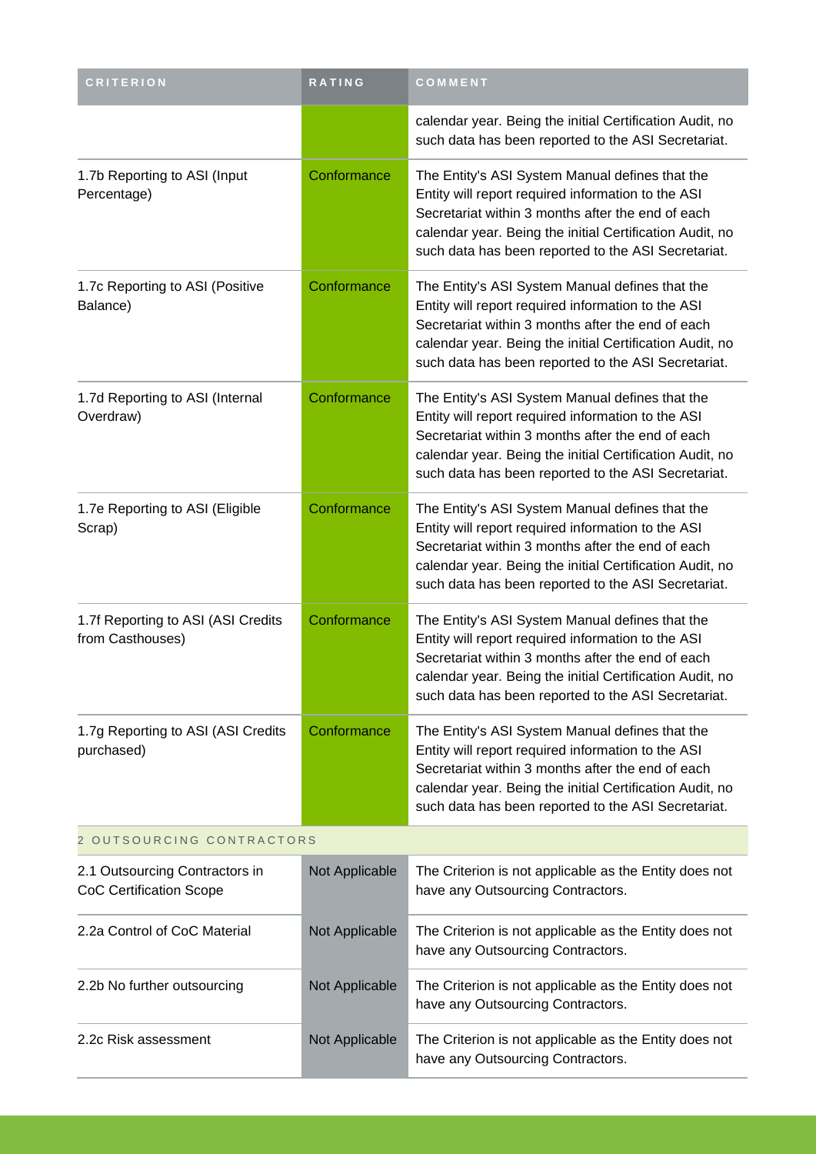| <b>CRITERION</b>                                                 | <b>RATING</b>  | COMMENT                                                                                                                                                                                                                                                                       |
|------------------------------------------------------------------|----------------|-------------------------------------------------------------------------------------------------------------------------------------------------------------------------------------------------------------------------------------------------------------------------------|
|                                                                  |                | calendar year. Being the initial Certification Audit, no<br>such data has been reported to the ASI Secretariat.                                                                                                                                                               |
| 1.7b Reporting to ASI (Input<br>Percentage)                      | Conformance    | The Entity's ASI System Manual defines that the<br>Entity will report required information to the ASI<br>Secretariat within 3 months after the end of each<br>calendar year. Being the initial Certification Audit, no<br>such data has been reported to the ASI Secretariat. |
| 1.7c Reporting to ASI (Positive<br>Balance)                      | Conformance    | The Entity's ASI System Manual defines that the<br>Entity will report required information to the ASI<br>Secretariat within 3 months after the end of each<br>calendar year. Being the initial Certification Audit, no<br>such data has been reported to the ASI Secretariat. |
| 1.7d Reporting to ASI (Internal<br>Overdraw)                     | Conformance    | The Entity's ASI System Manual defines that the<br>Entity will report required information to the ASI<br>Secretariat within 3 months after the end of each<br>calendar year. Being the initial Certification Audit, no<br>such data has been reported to the ASI Secretariat. |
| 1.7e Reporting to ASI (Eligible<br>Scrap)                        | Conformance    | The Entity's ASI System Manual defines that the<br>Entity will report required information to the ASI<br>Secretariat within 3 months after the end of each<br>calendar year. Being the initial Certification Audit, no<br>such data has been reported to the ASI Secretariat. |
| 1.7f Reporting to ASI (ASI Credits<br>from Casthouses)           | Conformance    | The Entity's ASI System Manual defines that the<br>Entity will report required information to the ASI<br>Secretariat within 3 months after the end of each<br>calendar year. Being the initial Certification Audit, no<br>such data has been reported to the ASI Secretariat. |
| 1.7g Reporting to ASI (ASI Credits<br>purchased)                 | Conformance    | The Entity's ASI System Manual defines that the<br>Entity will report required information to the ASI<br>Secretariat within 3 months after the end of each<br>calendar year. Being the initial Certification Audit, no<br>such data has been reported to the ASI Secretariat. |
| 2 OUTSOURCING CONTRACTORS                                        |                |                                                                                                                                                                                                                                                                               |
| 2.1 Outsourcing Contractors in<br><b>CoC Certification Scope</b> | Not Applicable | The Criterion is not applicable as the Entity does not<br>have any Outsourcing Contractors.                                                                                                                                                                                   |
| 2.2a Control of CoC Material                                     | Not Applicable | The Criterion is not applicable as the Entity does not<br>have any Outsourcing Contractors.                                                                                                                                                                                   |
| 2.2b No further outsourcing                                      | Not Applicable | The Criterion is not applicable as the Entity does not<br>have any Outsourcing Contractors.                                                                                                                                                                                   |
| 2.2c Risk assessment                                             | Not Applicable | The Criterion is not applicable as the Entity does not<br>have any Outsourcing Contractors.                                                                                                                                                                                   |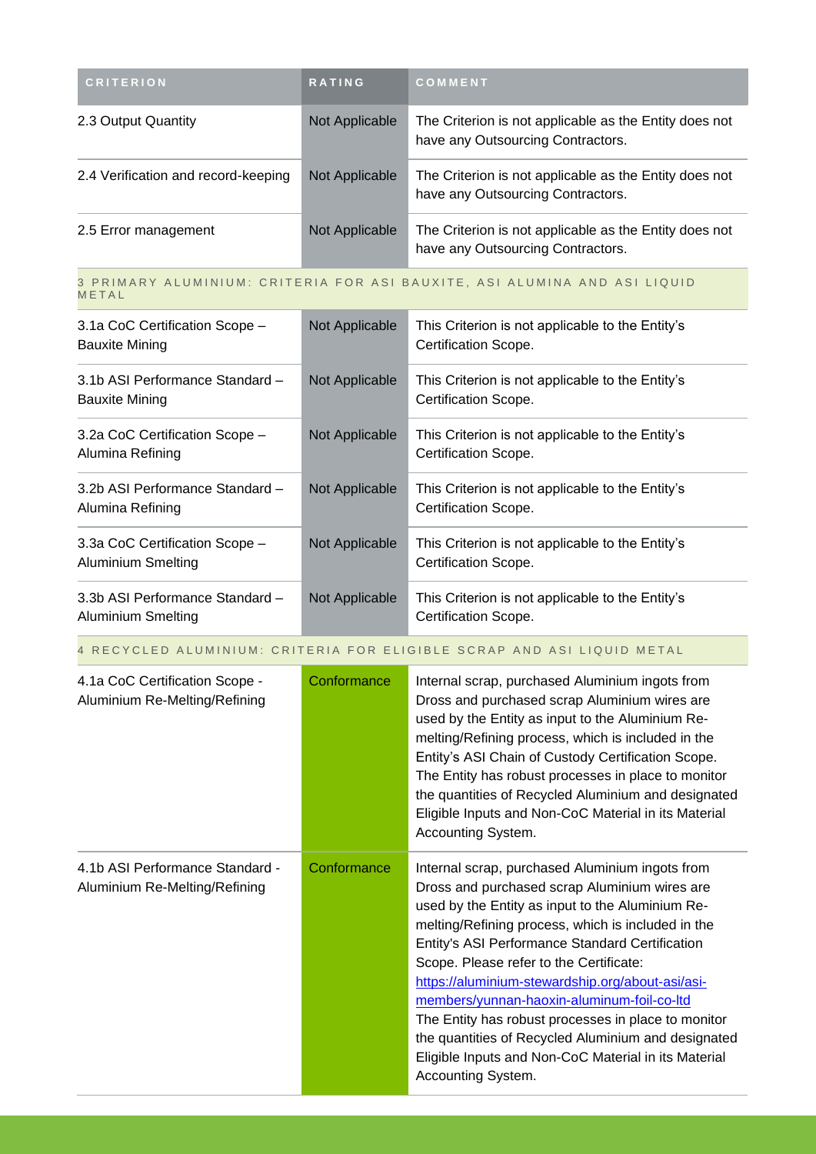| <b>CRITERION</b>                    | <b>RATING</b>  | COMMENT                                                                                     |
|-------------------------------------|----------------|---------------------------------------------------------------------------------------------|
| 2.3 Output Quantity                 | Not Applicable | The Criterion is not applicable as the Entity does not<br>have any Outsourcing Contractors. |
| 2.4 Verification and record-keeping | Not Applicable | The Criterion is not applicable as the Entity does not<br>have any Outsourcing Contractors. |
| 2.5 Error management                | Not Applicable | The Criterion is not applicable as the Entity does not<br>have any Outsourcing Contractors. |

#### 3 PRIMARY ALUMINIUM: CRITERIA FOR ASI BAUXITE, ASI ALUMINA AND ASI LIQUID **METAL**

| 3.1a CoC Certification Scope -<br><b>Bauxite Mining</b>     | Not Applicable | This Criterion is not applicable to the Entity's<br>Certification Scope. |
|-------------------------------------------------------------|----------------|--------------------------------------------------------------------------|
| 3.1b ASI Performance Standard -<br>Bauxite Mining           | Not Applicable | This Criterion is not applicable to the Entity's<br>Certification Scope. |
| 3.2a CoC Certification Scope -<br>Alumina Refining          | Not Applicable | This Criterion is not applicable to the Entity's<br>Certification Scope. |
| 3.2b ASI Performance Standard -<br>Alumina Refining         | Not Applicable | This Criterion is not applicable to the Entity's<br>Certification Scope. |
| 3.3a CoC Certification Scope -<br><b>Aluminium Smelting</b> | Not Applicable | This Criterion is not applicable to the Entity's<br>Certification Scope. |
| 3.3b ASI Performance Standard -<br>Aluminium Smelting       | Not Applicable | This Criterion is not applicable to the Entity's<br>Certification Scope. |

#### 4 RECYCLED ALUMINIUM: CRITERIA FOR ELIGIBLE SCRAP AND ASI LIQUID METAL

| 4.1a CoC Certification Scope -<br>Aluminium Re-Melting/Refining  | Conformance | Internal scrap, purchased Aluminium ingots from<br>Dross and purchased scrap Aluminium wires are<br>used by the Entity as input to the Aluminium Re-<br>melting/Refining process, which is included in the<br>Entity's ASI Chain of Custody Certification Scope.<br>The Entity has robust processes in place to monitor<br>the quantities of Recycled Aluminium and designated<br>Eligible Inputs and Non-CoC Material in its Material<br>Accounting System.                                                                                                                                           |
|------------------------------------------------------------------|-------------|--------------------------------------------------------------------------------------------------------------------------------------------------------------------------------------------------------------------------------------------------------------------------------------------------------------------------------------------------------------------------------------------------------------------------------------------------------------------------------------------------------------------------------------------------------------------------------------------------------|
| 4.1b ASI Performance Standard -<br>Aluminium Re-Melting/Refining | Conformance | Internal scrap, purchased Aluminium ingots from<br>Dross and purchased scrap Aluminium wires are<br>used by the Entity as input to the Aluminium Re-<br>melting/Refining process, which is included in the<br>Entity's ASI Performance Standard Certification<br>Scope. Please refer to the Certificate:<br>https://aluminium-stewardship.org/about-asi/asi-<br>members/yunnan-haoxin-aluminum-foil-co-ltd<br>The Entity has robust processes in place to monitor<br>the quantities of Recycled Aluminium and designated<br>Eligible Inputs and Non-CoC Material in its Material<br>Accounting System. |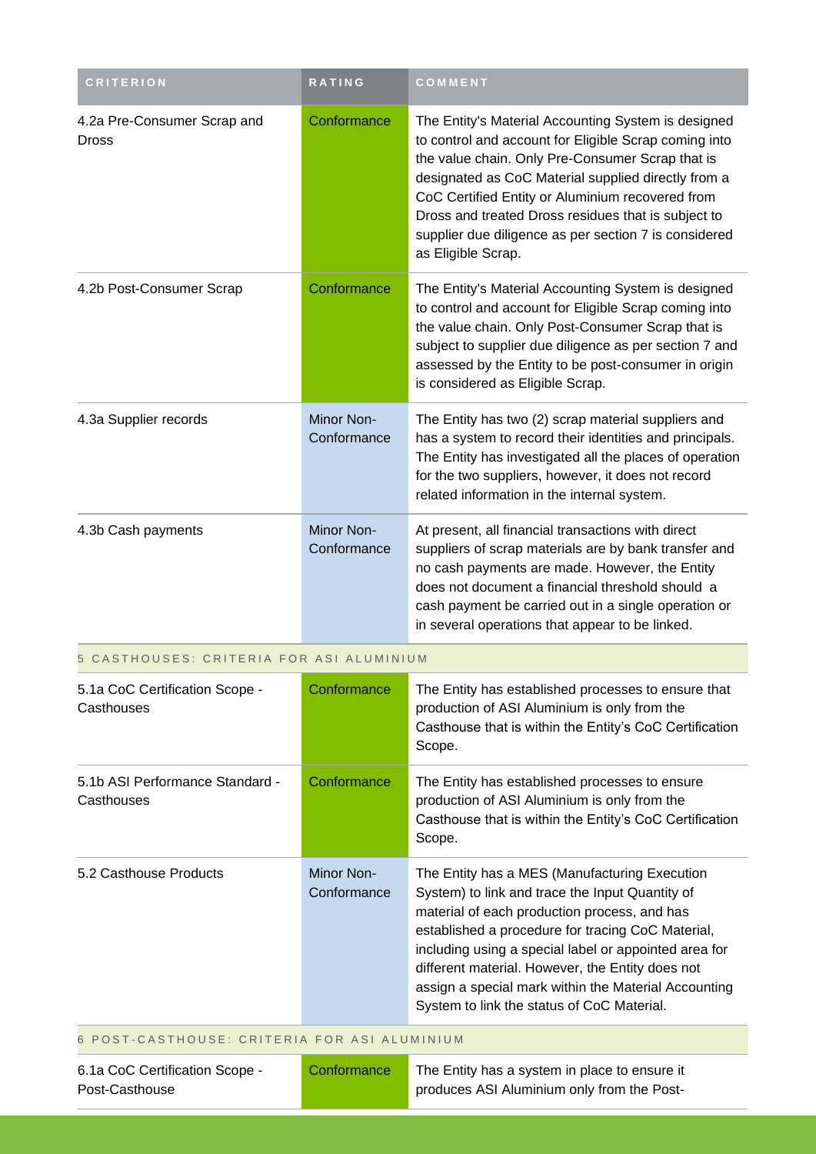| <b>CRITERION</b>                                 | <b>RATING</b>                    | COMMENT                                                                                                                                                                                                                                                                                                                                                                                                                  |
|--------------------------------------------------|----------------------------------|--------------------------------------------------------------------------------------------------------------------------------------------------------------------------------------------------------------------------------------------------------------------------------------------------------------------------------------------------------------------------------------------------------------------------|
| 4.2a Pre-Consumer Scrap and<br><b>Dross</b>      | Conformance                      | The Entity's Material Accounting System is designed<br>to control and account for Eligible Scrap coming into<br>the value chain. Only Pre-Consumer Scrap that is<br>designated as CoC Material supplied directly from a<br>CoC Certified Entity or Aluminium recovered from<br>Dross and treated Dross residues that is subject to<br>supplier due diligence as per section 7 is considered<br>as Eligible Scrap.        |
| 4.2b Post-Consumer Scrap                         | Conformance                      | The Entity's Material Accounting System is designed<br>to control and account for Eligible Scrap coming into<br>the value chain. Only Post-Consumer Scrap that is<br>subject to supplier due diligence as per section 7 and<br>assessed by the Entity to be post-consumer in origin<br>is considered as Eligible Scrap.                                                                                                  |
| 4.3a Supplier records                            | <b>Minor Non-</b><br>Conformance | The Entity has two (2) scrap material suppliers and<br>has a system to record their identities and principals.<br>The Entity has investigated all the places of operation<br>for the two suppliers, however, it does not record<br>related information in the internal system.                                                                                                                                           |
| 4.3b Cash payments                               | Minor Non-<br>Conformance        | At present, all financial transactions with direct<br>suppliers of scrap materials are by bank transfer and<br>no cash payments are made. However, the Entity<br>does not document a financial threshold should a<br>cash payment be carried out in a single operation or<br>in several operations that appear to be linked.                                                                                             |
| 5 CASTHOUSES: CRITERIA FOR ASI ALUMINIUM         |                                  |                                                                                                                                                                                                                                                                                                                                                                                                                          |
| 5.1a CoC Certification Scope -<br>Casthouses     | Conformance                      | The Entity has established processes to ensure that<br>production of ASI Aluminium is only from the<br>Casthouse that is within the Entity's CoC Certification<br>Scope.                                                                                                                                                                                                                                                 |
| 5.1b ASI Performance Standard -<br>Casthouses    | Conformance                      | The Entity has established processes to ensure<br>production of ASI Aluminium is only from the<br>Casthouse that is within the Entity's CoC Certification<br>Scope.                                                                                                                                                                                                                                                      |
| 5.2 Casthouse Products                           | <b>Minor Non-</b><br>Conformance | The Entity has a MES (Manufacturing Execution<br>System) to link and trace the Input Quantity of<br>material of each production process, and has<br>established a procedure for tracing CoC Material,<br>including using a special label or appointed area for<br>different material. However, the Entity does not<br>assign a special mark within the Material Accounting<br>System to link the status of CoC Material. |
| 6 POST-CASTHOUSE: CRITERIA FOR ASI ALUMINIUM     |                                  |                                                                                                                                                                                                                                                                                                                                                                                                                          |
| 6.1a CoC Certification Scope -<br>Post-Casthouse | Conformance                      | The Entity has a system in place to ensure it<br>produces ASI Aluminium only from the Post-                                                                                                                                                                                                                                                                                                                              |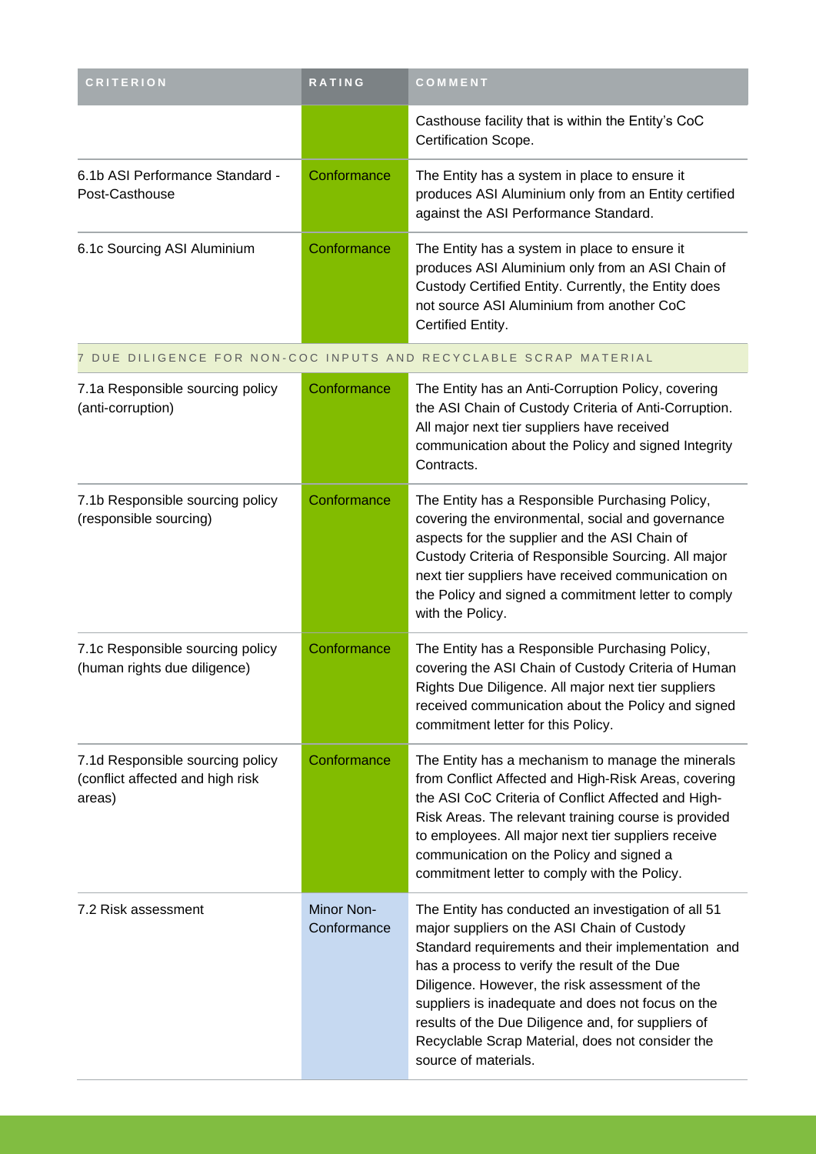| <b>CRITERION</b>                                                               | RATING                    | COMMENT                                                                                                                                                                                                                                                                                                                                                                                                                                            |
|--------------------------------------------------------------------------------|---------------------------|----------------------------------------------------------------------------------------------------------------------------------------------------------------------------------------------------------------------------------------------------------------------------------------------------------------------------------------------------------------------------------------------------------------------------------------------------|
|                                                                                |                           | Casthouse facility that is within the Entity's CoC<br>Certification Scope.                                                                                                                                                                                                                                                                                                                                                                         |
| 6.1b ASI Performance Standard -<br>Post-Casthouse                              | Conformance               | The Entity has a system in place to ensure it<br>produces ASI Aluminium only from an Entity certified<br>against the ASI Performance Standard.                                                                                                                                                                                                                                                                                                     |
| 6.1c Sourcing ASI Aluminium                                                    | Conformance               | The Entity has a system in place to ensure it<br>produces ASI Aluminium only from an ASI Chain of<br>Custody Certified Entity. Currently, the Entity does<br>not source ASI Aluminium from another CoC<br>Certified Entity.                                                                                                                                                                                                                        |
|                                                                                |                           | 7 DUE DILIGENCE FOR NON-COC INPUTS AND RECYCLABLE SCRAP MATERIAL                                                                                                                                                                                                                                                                                                                                                                                   |
| 7.1a Responsible sourcing policy<br>(anti-corruption)                          | Conformance               | The Entity has an Anti-Corruption Policy, covering<br>the ASI Chain of Custody Criteria of Anti-Corruption.<br>All major next tier suppliers have received<br>communication about the Policy and signed Integrity<br>Contracts.                                                                                                                                                                                                                    |
| 7.1b Responsible sourcing policy<br>(responsible sourcing)                     | Conformance               | The Entity has a Responsible Purchasing Policy,<br>covering the environmental, social and governance<br>aspects for the supplier and the ASI Chain of<br>Custody Criteria of Responsible Sourcing. All major<br>next tier suppliers have received communication on<br>the Policy and signed a commitment letter to comply<br>with the Policy.                                                                                                      |
| 7.1c Responsible sourcing policy<br>(human rights due diligence)               | Conformance               | The Entity has a Responsible Purchasing Policy,<br>covering the ASI Chain of Custody Criteria of Human<br>Rights Due Diligence. All major next tier suppliers<br>received communication about the Policy and signed<br>commitment letter for this Policy.                                                                                                                                                                                          |
| 7.1d Responsible sourcing policy<br>(conflict affected and high risk<br>areas) | Conformance               | The Entity has a mechanism to manage the minerals<br>from Conflict Affected and High-Risk Areas, covering<br>the ASI CoC Criteria of Conflict Affected and High-<br>Risk Areas. The relevant training course is provided<br>to employees. All major next tier suppliers receive<br>communication on the Policy and signed a<br>commitment letter to comply with the Policy.                                                                        |
| 7.2 Risk assessment                                                            | Minor Non-<br>Conformance | The Entity has conducted an investigation of all 51<br>major suppliers on the ASI Chain of Custody<br>Standard requirements and their implementation and<br>has a process to verify the result of the Due<br>Diligence. However, the risk assessment of the<br>suppliers is inadequate and does not focus on the<br>results of the Due Diligence and, for suppliers of<br>Recyclable Scrap Material, does not consider the<br>source of materials. |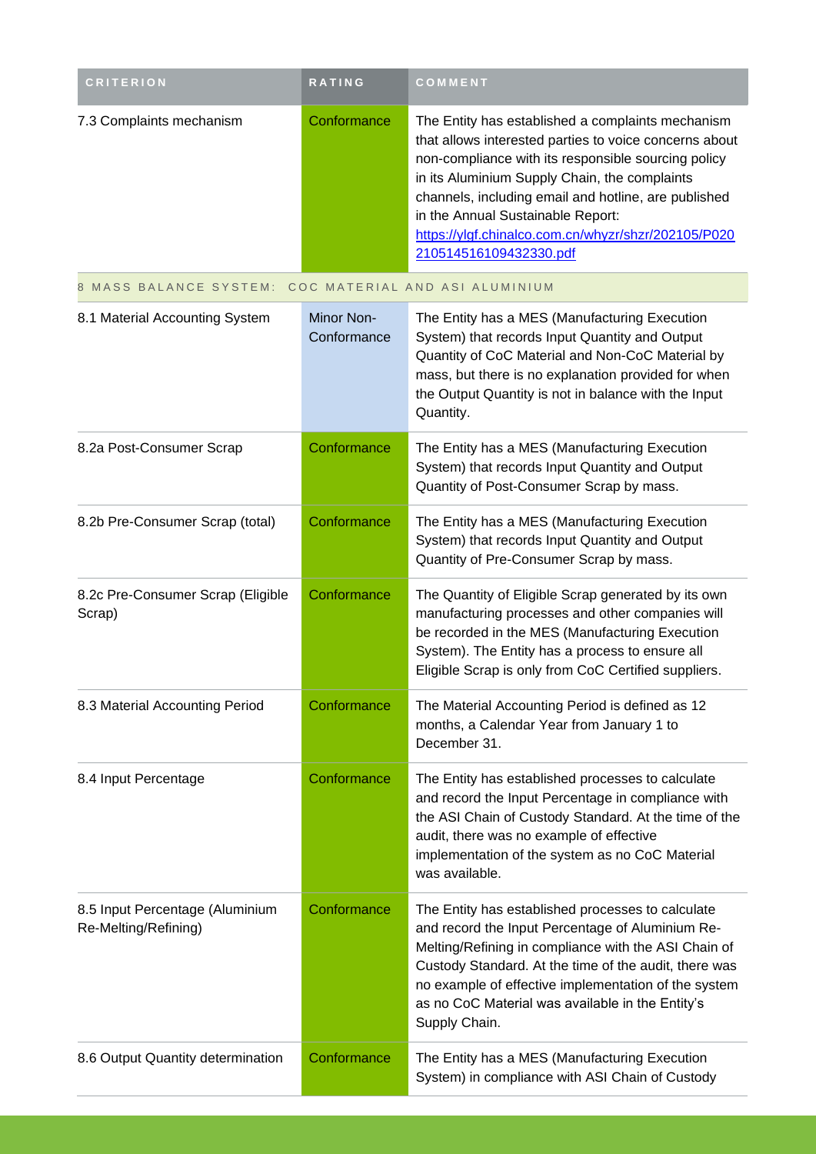| <b>CRITERION</b>                                        | RATING                    | COMMENT                                                                                                                                                                                                                                                                                                                                                                                           |
|---------------------------------------------------------|---------------------------|---------------------------------------------------------------------------------------------------------------------------------------------------------------------------------------------------------------------------------------------------------------------------------------------------------------------------------------------------------------------------------------------------|
| 7.3 Complaints mechanism                                | Conformance               | The Entity has established a complaints mechanism<br>that allows interested parties to voice concerns about<br>non-compliance with its responsible sourcing policy<br>in its Aluminium Supply Chain, the complaints<br>channels, including email and hotline, are published<br>in the Annual Sustainable Report:<br>https://ylgf.chinalco.com.cn/whyzr/shzr/202105/P020<br>210514516109432330.pdf |
| 8 MASS BALANCE SYSTEM:                                  |                           | COC MATERIAL AND ASI ALUMINIUM                                                                                                                                                                                                                                                                                                                                                                    |
| 8.1 Material Accounting System                          | Minor Non-<br>Conformance | The Entity has a MES (Manufacturing Execution<br>System) that records Input Quantity and Output<br>Quantity of CoC Material and Non-CoC Material by<br>mass, but there is no explanation provided for when<br>the Output Quantity is not in balance with the Input<br>Quantity.                                                                                                                   |
| 8.2a Post-Consumer Scrap                                | Conformance               | The Entity has a MES (Manufacturing Execution<br>System) that records Input Quantity and Output<br>Quantity of Post-Consumer Scrap by mass.                                                                                                                                                                                                                                                       |
| 8.2b Pre-Consumer Scrap (total)                         | Conformance               | The Entity has a MES (Manufacturing Execution<br>System) that records Input Quantity and Output<br>Quantity of Pre-Consumer Scrap by mass.                                                                                                                                                                                                                                                        |
| 8.2c Pre-Consumer Scrap (Eligible<br>Scrap)             | Conformance               | The Quantity of Eligible Scrap generated by its own<br>manufacturing processes and other companies will<br>be recorded in the MES (Manufacturing Execution<br>System). The Entity has a process to ensure all<br>Eligible Scrap is only from CoC Certified suppliers.                                                                                                                             |
| 8.3 Material Accounting Period                          | Conformance               | The Material Accounting Period is defined as 12<br>months, a Calendar Year from January 1 to<br>December 31.                                                                                                                                                                                                                                                                                      |
| 8.4 Input Percentage                                    | Conformance               | The Entity has established processes to calculate<br>and record the Input Percentage in compliance with<br>the ASI Chain of Custody Standard. At the time of the<br>audit, there was no example of effective<br>implementation of the system as no CoC Material<br>was available.                                                                                                                 |
| 8.5 Input Percentage (Aluminium<br>Re-Melting/Refining) | Conformance               | The Entity has established processes to calculate<br>and record the Input Percentage of Aluminium Re-<br>Melting/Refining in compliance with the ASI Chain of<br>Custody Standard. At the time of the audit, there was<br>no example of effective implementation of the system<br>as no CoC Material was available in the Entity's<br>Supply Chain.                                               |
| 8.6 Output Quantity determination                       | Conformance               | The Entity has a MES (Manufacturing Execution<br>System) in compliance with ASI Chain of Custody                                                                                                                                                                                                                                                                                                  |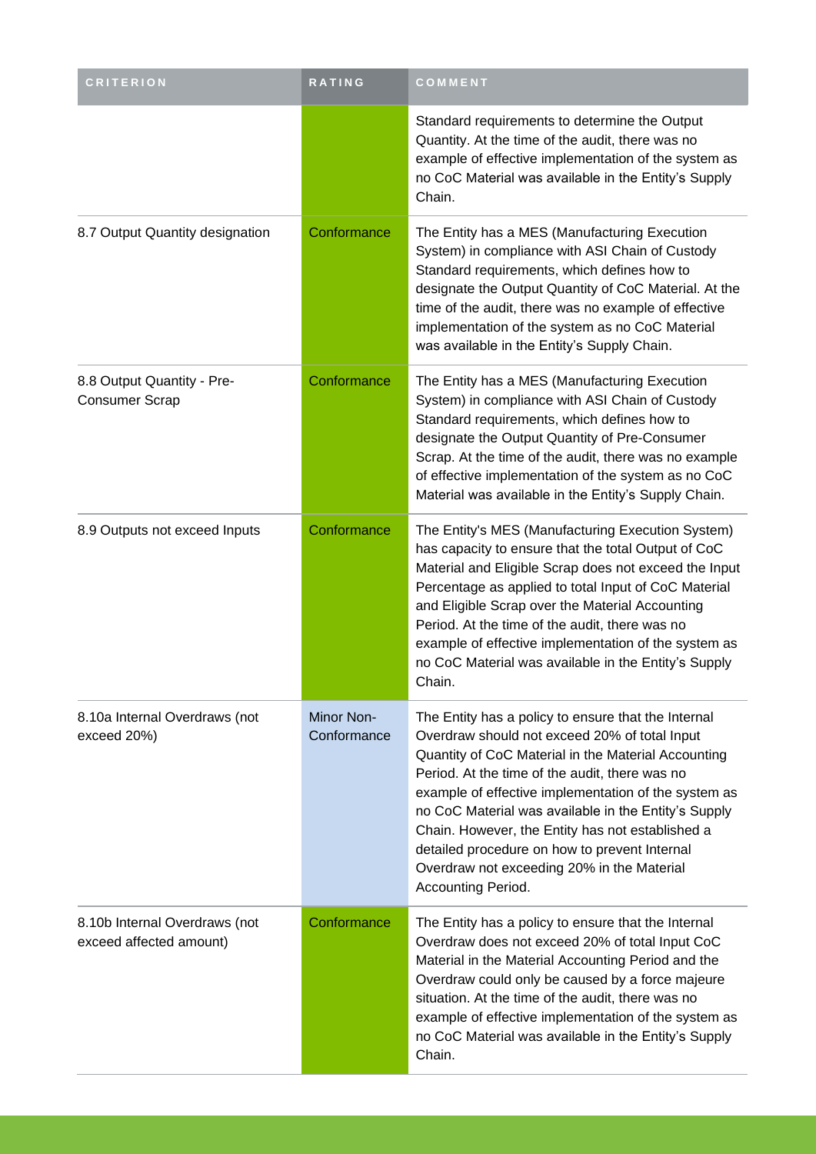| <b>CRITERION</b>                                         | RATING                    | COMMENT                                                                                                                                                                                                                                                                                                                                                                                                                                                                                                |
|----------------------------------------------------------|---------------------------|--------------------------------------------------------------------------------------------------------------------------------------------------------------------------------------------------------------------------------------------------------------------------------------------------------------------------------------------------------------------------------------------------------------------------------------------------------------------------------------------------------|
|                                                          |                           | Standard requirements to determine the Output<br>Quantity. At the time of the audit, there was no<br>example of effective implementation of the system as<br>no CoC Material was available in the Entity's Supply<br>Chain.                                                                                                                                                                                                                                                                            |
| 8.7 Output Quantity designation                          | Conformance               | The Entity has a MES (Manufacturing Execution<br>System) in compliance with ASI Chain of Custody<br>Standard requirements, which defines how to<br>designate the Output Quantity of CoC Material. At the<br>time of the audit, there was no example of effective<br>implementation of the system as no CoC Material<br>was available in the Entity's Supply Chain.                                                                                                                                     |
| 8.8 Output Quantity - Pre-<br><b>Consumer Scrap</b>      | Conformance               | The Entity has a MES (Manufacturing Execution<br>System) in compliance with ASI Chain of Custody<br>Standard requirements, which defines how to<br>designate the Output Quantity of Pre-Consumer<br>Scrap. At the time of the audit, there was no example<br>of effective implementation of the system as no CoC<br>Material was available in the Entity's Supply Chain.                                                                                                                               |
| 8.9 Outputs not exceed Inputs                            | Conformance               | The Entity's MES (Manufacturing Execution System)<br>has capacity to ensure that the total Output of CoC<br>Material and Eligible Scrap does not exceed the Input<br>Percentage as applied to total Input of CoC Material<br>and Eligible Scrap over the Material Accounting<br>Period. At the time of the audit, there was no<br>example of effective implementation of the system as<br>no CoC Material was available in the Entity's Supply<br>Chain.                                               |
| 8.10a Internal Overdraws (not<br>exceed 20%)             | Minor Non-<br>Conformance | The Entity has a policy to ensure that the Internal<br>Overdraw should not exceed 20% of total Input<br>Quantity of CoC Material in the Material Accounting<br>Period. At the time of the audit, there was no<br>example of effective implementation of the system as<br>no CoC Material was available in the Entity's Supply<br>Chain. However, the Entity has not established a<br>detailed procedure on how to prevent Internal<br>Overdraw not exceeding 20% in the Material<br>Accounting Period. |
| 8.10b Internal Overdraws (not<br>exceed affected amount) | Conformance               | The Entity has a policy to ensure that the Internal<br>Overdraw does not exceed 20% of total Input CoC<br>Material in the Material Accounting Period and the<br>Overdraw could only be caused by a force majeure<br>situation. At the time of the audit, there was no<br>example of effective implementation of the system as<br>no CoC Material was available in the Entity's Supply<br>Chain.                                                                                                        |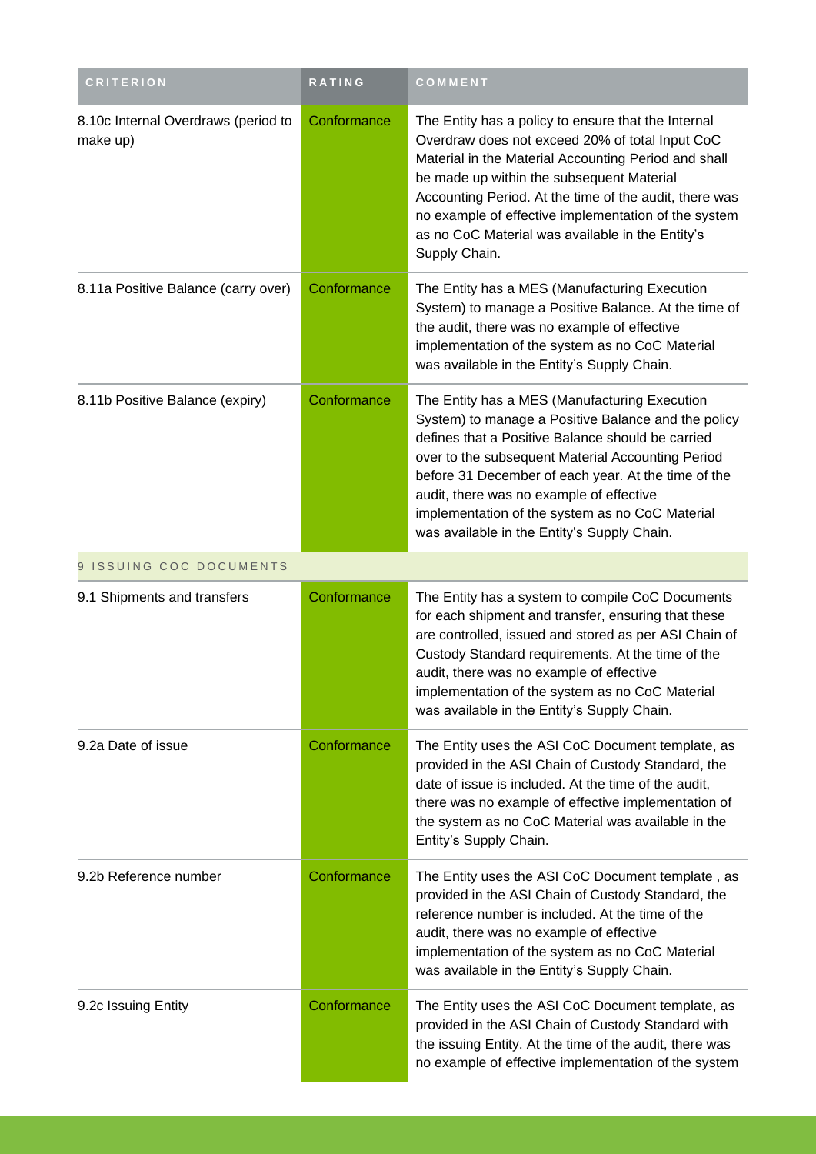| <b>CRITERION</b>                                | <b>RATING</b> | COMMENT                                                                                                                                                                                                                                                                                                                                                                                                             |
|-------------------------------------------------|---------------|---------------------------------------------------------------------------------------------------------------------------------------------------------------------------------------------------------------------------------------------------------------------------------------------------------------------------------------------------------------------------------------------------------------------|
| 8.10c Internal Overdraws (period to<br>make up) | Conformance   | The Entity has a policy to ensure that the Internal<br>Overdraw does not exceed 20% of total Input CoC<br>Material in the Material Accounting Period and shall<br>be made up within the subsequent Material<br>Accounting Period. At the time of the audit, there was<br>no example of effective implementation of the system<br>as no CoC Material was available in the Entity's<br>Supply Chain.                  |
| 8.11a Positive Balance (carry over)             | Conformance   | The Entity has a MES (Manufacturing Execution<br>System) to manage a Positive Balance. At the time of<br>the audit, there was no example of effective<br>implementation of the system as no CoC Material<br>was available in the Entity's Supply Chain.                                                                                                                                                             |
| 8.11b Positive Balance (expiry)                 | Conformance   | The Entity has a MES (Manufacturing Execution<br>System) to manage a Positive Balance and the policy<br>defines that a Positive Balance should be carried<br>over to the subsequent Material Accounting Period<br>before 31 December of each year. At the time of the<br>audit, there was no example of effective<br>implementation of the system as no CoC Material<br>was available in the Entity's Supply Chain. |
| 9 ISSUING COC DOCUMENTS                         |               |                                                                                                                                                                                                                                                                                                                                                                                                                     |
| 9.1 Shipments and transfers                     | Conformance   | The Entity has a system to compile CoC Documents<br>for each shipment and transfer, ensuring that these<br>are controlled, issued and stored as per ASI Chain of<br>Custody Standard requirements. At the time of the<br>audit, there was no example of effective<br>implementation of the system as no CoC Material<br>was available in the Entity's Supply Chain.                                                 |
| 9.2a Date of issue                              | Conformance   | The Entity uses the ASI CoC Document template, as<br>provided in the ASI Chain of Custody Standard, the<br>date of issue is included. At the time of the audit,<br>there was no example of effective implementation of<br>the system as no CoC Material was available in the<br>Entity's Supply Chain.                                                                                                              |
| 9.2b Reference number                           | Conformance   | The Entity uses the ASI CoC Document template, as<br>provided in the ASI Chain of Custody Standard, the<br>reference number is included. At the time of the<br>audit, there was no example of effective<br>implementation of the system as no CoC Material<br>was available in the Entity's Supply Chain.                                                                                                           |
| 9.2c Issuing Entity                             | Conformance   | The Entity uses the ASI CoC Document template, as<br>provided in the ASI Chain of Custody Standard with<br>the issuing Entity. At the time of the audit, there was<br>no example of effective implementation of the system                                                                                                                                                                                          |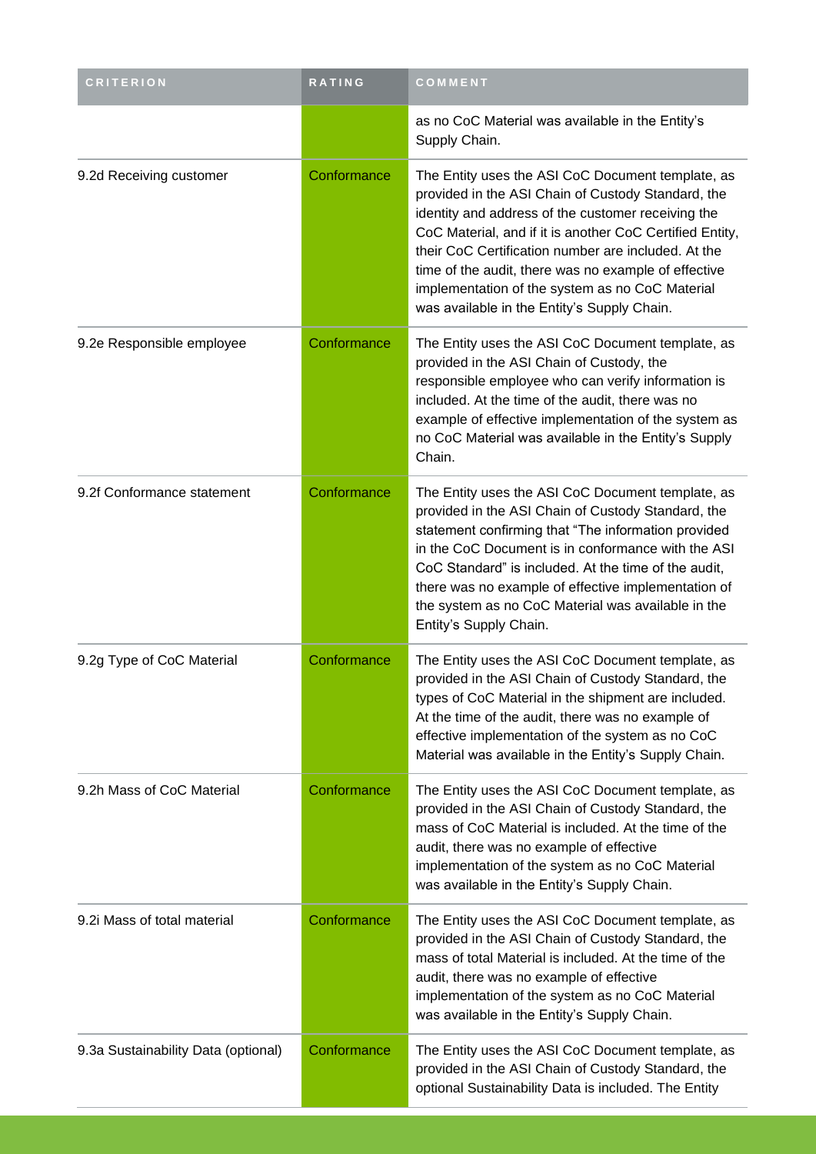| <b>CRITERION</b>                    | RATING      | COMMENT                                                                                                                                                                                                                                                                                                                                                                                                                                    |
|-------------------------------------|-------------|--------------------------------------------------------------------------------------------------------------------------------------------------------------------------------------------------------------------------------------------------------------------------------------------------------------------------------------------------------------------------------------------------------------------------------------------|
|                                     |             | as no CoC Material was available in the Entity's<br>Supply Chain.                                                                                                                                                                                                                                                                                                                                                                          |
| 9.2d Receiving customer             | Conformance | The Entity uses the ASI CoC Document template, as<br>provided in the ASI Chain of Custody Standard, the<br>identity and address of the customer receiving the<br>CoC Material, and if it is another CoC Certified Entity,<br>their CoC Certification number are included. At the<br>time of the audit, there was no example of effective<br>implementation of the system as no CoC Material<br>was available in the Entity's Supply Chain. |
| 9.2e Responsible employee           | Conformance | The Entity uses the ASI CoC Document template, as<br>provided in the ASI Chain of Custody, the<br>responsible employee who can verify information is<br>included. At the time of the audit, there was no<br>example of effective implementation of the system as<br>no CoC Material was available in the Entity's Supply<br>Chain.                                                                                                         |
| 9.2f Conformance statement          | Conformance | The Entity uses the ASI CoC Document template, as<br>provided in the ASI Chain of Custody Standard, the<br>statement confirming that "The information provided<br>in the CoC Document is in conformance with the ASI<br>CoC Standard" is included. At the time of the audit,<br>there was no example of effective implementation of<br>the system as no CoC Material was available in the<br>Entity's Supply Chain.                        |
| 9.2g Type of CoC Material           | Conformance | The Entity uses the ASI CoC Document template, as<br>provided in the ASI Chain of Custody Standard, the<br>types of CoC Material in the shipment are included.<br>At the time of the audit, there was no example of<br>effective implementation of the system as no CoC<br>Material was available in the Entity's Supply Chain.                                                                                                            |
| 9.2h Mass of CoC Material           | Conformance | The Entity uses the ASI CoC Document template, as<br>provided in the ASI Chain of Custody Standard, the<br>mass of CoC Material is included. At the time of the<br>audit, there was no example of effective<br>implementation of the system as no CoC Material<br>was available in the Entity's Supply Chain.                                                                                                                              |
| 9.2i Mass of total material         | Conformance | The Entity uses the ASI CoC Document template, as<br>provided in the ASI Chain of Custody Standard, the<br>mass of total Material is included. At the time of the<br>audit, there was no example of effective<br>implementation of the system as no CoC Material<br>was available in the Entity's Supply Chain.                                                                                                                            |
| 9.3a Sustainability Data (optional) | Conformance | The Entity uses the ASI CoC Document template, as<br>provided in the ASI Chain of Custody Standard, the<br>optional Sustainability Data is included. The Entity                                                                                                                                                                                                                                                                            |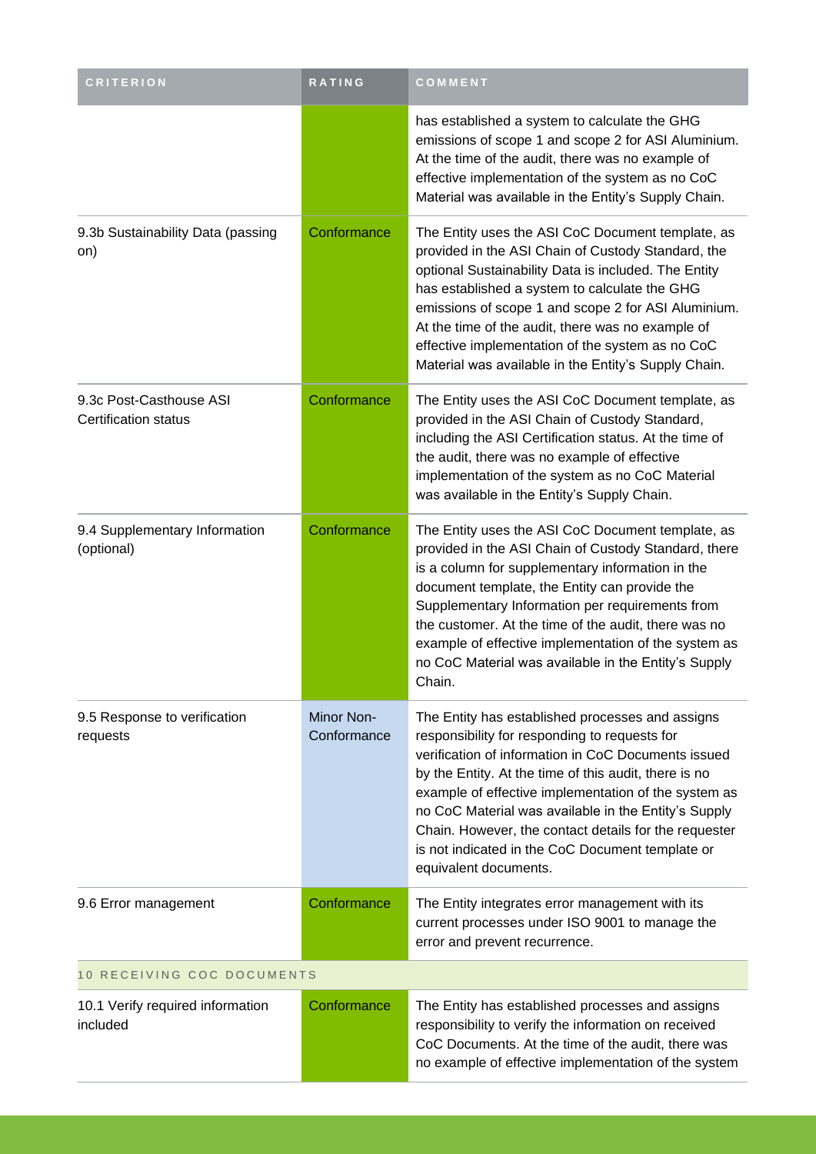| <b>CRITERION</b>                                       | <b>RATING</b>             | COMMENT                                                                                                                                                                                                                                                                                                                                                                                                                                                                 |
|--------------------------------------------------------|---------------------------|-------------------------------------------------------------------------------------------------------------------------------------------------------------------------------------------------------------------------------------------------------------------------------------------------------------------------------------------------------------------------------------------------------------------------------------------------------------------------|
|                                                        |                           | has established a system to calculate the GHG<br>emissions of scope 1 and scope 2 for ASI Aluminium.<br>At the time of the audit, there was no example of<br>effective implementation of the system as no CoC<br>Material was available in the Entity's Supply Chain.                                                                                                                                                                                                   |
| 9.3b Sustainability Data (passing<br>on)               | Conformance               | The Entity uses the ASI CoC Document template, as<br>provided in the ASI Chain of Custody Standard, the<br>optional Sustainability Data is included. The Entity<br>has established a system to calculate the GHG<br>emissions of scope 1 and scope 2 for ASI Aluminium.<br>At the time of the audit, there was no example of<br>effective implementation of the system as no CoC<br>Material was available in the Entity's Supply Chain.                                |
| 9.3c Post-Casthouse ASI<br><b>Certification status</b> | Conformance               | The Entity uses the ASI CoC Document template, as<br>provided in the ASI Chain of Custody Standard,<br>including the ASI Certification status. At the time of<br>the audit, there was no example of effective<br>implementation of the system as no CoC Material<br>was available in the Entity's Supply Chain.                                                                                                                                                         |
| 9.4 Supplementary Information<br>(optional)            | Conformance               | The Entity uses the ASI CoC Document template, as<br>provided in the ASI Chain of Custody Standard, there<br>is a column for supplementary information in the<br>document template, the Entity can provide the<br>Supplementary Information per requirements from<br>the customer. At the time of the audit, there was no<br>example of effective implementation of the system as<br>no CoC Material was available in the Entity's Supply<br>Chain.                     |
| 9.5 Response to verification<br>requests               | Minor Non-<br>Conformance | The Entity has established processes and assigns<br>responsibility for responding to requests for<br>verification of information in CoC Documents issued<br>by the Entity. At the time of this audit, there is no<br>example of effective implementation of the system as<br>no CoC Material was available in the Entity's Supply<br>Chain. However, the contact details for the requester<br>is not indicated in the CoC Document template or<br>equivalent documents. |
| 9.6 Error management                                   | Conformance               | The Entity integrates error management with its<br>current processes under ISO 9001 to manage the<br>error and prevent recurrence.                                                                                                                                                                                                                                                                                                                                      |
| 10 RECEIVING COC DOCUMENTS                             |                           |                                                                                                                                                                                                                                                                                                                                                                                                                                                                         |
| 10.1 Verify required information<br>included           | Conformance               | The Entity has established processes and assigns<br>responsibility to verify the information on received<br>CoC Documents. At the time of the audit, there was<br>no example of effective implementation of the system                                                                                                                                                                                                                                                  |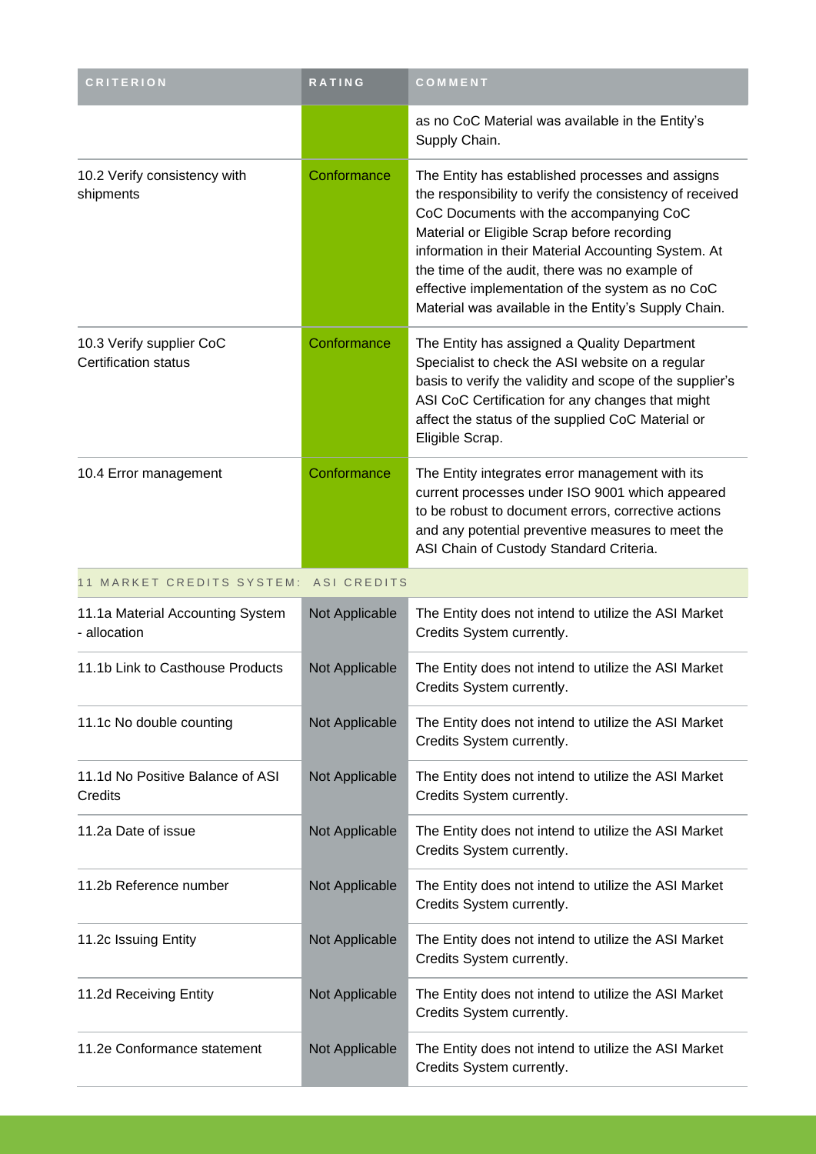| <b>CRITERION</b>                                        | <b>RATING</b>  | COMMENT                                                                                                                                                                                                                                                                                                                                                                                                                     |
|---------------------------------------------------------|----------------|-----------------------------------------------------------------------------------------------------------------------------------------------------------------------------------------------------------------------------------------------------------------------------------------------------------------------------------------------------------------------------------------------------------------------------|
|                                                         |                | as no CoC Material was available in the Entity's<br>Supply Chain.                                                                                                                                                                                                                                                                                                                                                           |
| 10.2 Verify consistency with<br>shipments               | Conformance    | The Entity has established processes and assigns<br>the responsibility to verify the consistency of received<br>CoC Documents with the accompanying CoC<br>Material or Eligible Scrap before recording<br>information in their Material Accounting System. At<br>the time of the audit, there was no example of<br>effective implementation of the system as no CoC<br>Material was available in the Entity's Supply Chain. |
| 10.3 Verify supplier CoC<br><b>Certification status</b> | Conformance    | The Entity has assigned a Quality Department<br>Specialist to check the ASI website on a regular<br>basis to verify the validity and scope of the supplier's<br>ASI CoC Certification for any changes that might<br>affect the status of the supplied CoC Material or<br>Eligible Scrap.                                                                                                                                    |
| 10.4 Error management                                   | Conformance    | The Entity integrates error management with its<br>current processes under ISO 9001 which appeared<br>to be robust to document errors, corrective actions<br>and any potential preventive measures to meet the<br>ASI Chain of Custody Standard Criteria.                                                                                                                                                                   |
| 11 MARKET CREDITS SYSTEM: ASI CREDITS                   |                |                                                                                                                                                                                                                                                                                                                                                                                                                             |
| 11.1a Material Accounting System<br>- allocation        | Not Applicable | The Entity does not intend to utilize the ASI Market<br>Credits System currently.                                                                                                                                                                                                                                                                                                                                           |
| 11.1b Link to Casthouse Products                        | Not Applicable | The Entity does not intend to utilize the ASI Market<br>Credits System currently.                                                                                                                                                                                                                                                                                                                                           |
| 11.1c No double counting                                | Not Applicable | The Entity does not intend to utilize the ASI Market<br>Credits System currently.                                                                                                                                                                                                                                                                                                                                           |
| 11.1d No Positive Balance of ASI<br>Credits             | Not Applicable | The Entity does not intend to utilize the ASI Market<br>Credits System currently.                                                                                                                                                                                                                                                                                                                                           |
| 11.2a Date of issue                                     | Not Applicable | The Entity does not intend to utilize the ASI Market<br>Credits System currently.                                                                                                                                                                                                                                                                                                                                           |
| 11.2b Reference number                                  | Not Applicable | The Entity does not intend to utilize the ASI Market<br>Credits System currently.                                                                                                                                                                                                                                                                                                                                           |
| 11.2c Issuing Entity                                    | Not Applicable | The Entity does not intend to utilize the ASI Market<br>Credits System currently.                                                                                                                                                                                                                                                                                                                                           |
| 11.2d Receiving Entity                                  | Not Applicable | The Entity does not intend to utilize the ASI Market<br>Credits System currently.                                                                                                                                                                                                                                                                                                                                           |
| 11.2e Conformance statement                             | Not Applicable | The Entity does not intend to utilize the ASI Market<br>Credits System currently.                                                                                                                                                                                                                                                                                                                                           |